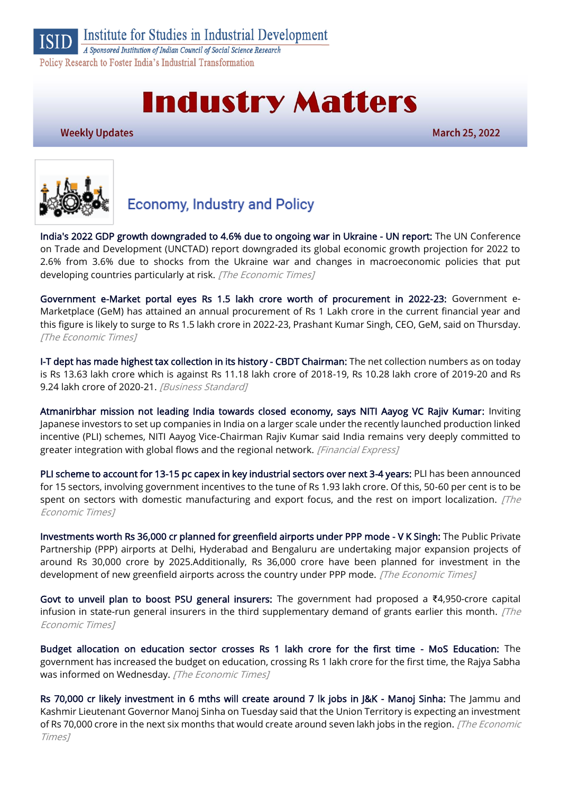Institute for Studies in Industrial Development

A Sponsored Institution of Indian Council of Social Science Research Policy Research to Foster India's Industrial Transformation

# **Industry Matters**

**Weekly Updates** 

**March 25, 2022** 



## **Economy, Industry and Policy**

[India's 2022 GDP growth downgraded to 4.6% due to ongoing war in Ukraine - UN report:](https://economictimes.indiatimes.com/news/economy/indicators/indias-2022-gdp-growth-downgraded-to-4-6-due-to-ongoing-war-in-ukraine-un-report/articleshow/90423986.cms) The UN Conference on Trade and Development (UNCTAD) report downgraded its global economic growth projection for 2022 to 2.6% from 3.6% due to shocks from the Ukraine war and changes in macroeconomic policies that put developing countries particularly at risk. [The Economic Times]

[Government e-Market portal eyes Rs 1.5 lakh crore worth of procurement in 2022-23:](https://economictimes.indiatimes.com/news/india/government-e-market-portal-eyes-rs-1-5-lakh-crore-worth-of-procurement-in-2022-23/articleshow/90425958.cms) Government e-Marketplace (GeM) has attained an annual procurement of Rs 1 Lakh crore in the current financial year and this figure is likely to surge to Rs 1.5 lakh crore in 2022-23, Prashant Kumar Singh, CEO, GeM, said on Thursday. [The Economic Times]

[I-T dept has made highest tax collection in its history - CBDT Chairman:](https://www.business-standard.com/article/economy-policy/i-t-dept-has-made-highest-tax-collection-in-its-history-cbdt-chairman-122031701188_1.html) The net collection numbers as on today is Rs 13.63 lakh crore which is against Rs 11.18 lakh crore of 2018-19, Rs 10.28 lakh crore of 2019-20 and Rs 9.24 lakh crore of 2020-21. [Business Standard]

[Atmanirbhar mission not leading India towards closed economy, says NITI Aayog VC Rajiv Kumar:](https://www.financialexpress.com/economy/atmanirbhar-mission-not-leading-india-towards-closed-economy-says-niti-aayog-vc-rajiv-kumar/2468041/) Inviting Japanese investors to set up companies in India on a larger scale under the recently launched production linked incentive (PLI) schemes, NITI Aayog Vice-Chairman Rajiv Kumar said India remains very deeply committed to greater integration with global flows and the regional network. [Financial Express]

[PLI scheme to account for 13-15 pc capex in key industrial sectors over next 3-4 years:](https://economictimes.indiatimes.com/news/economy/indicators/pli-scheme-to-account-for-13-15-pc-capex-in-key-industrial-sectors-over-next-3-4-years-report/articleshow/90398568.cms) PLI has been announced for 15 sectors, involving government incentives to the tune of Rs 1.93 lakh crore. Of this, 50-60 per cent is to be spent on sectors with domestic manufacturing and export focus, and the rest on import localization. *[The* Economic Times]

[Investments worth Rs 36,000 cr planned for greenfield airports under PPP mode - V K Singh:](https://economictimes.indiatimes.com/industry/transportation/airlines-/-aviation/investments-worth-rs-36000-cr-planned-for-greenfield-airports-under-ppp-mode-v-k-singh/articleshow/90418594.cms) The Public Private Partnership (PPP) airports at Delhi, Hyderabad and Bengaluru are undertaking major expansion projects of around Rs 30,000 crore by 2025.Additionally, Rs 36,000 crore have been planned for investment in the development of new greenfield airports across the country under PPP mode. [The Economic Times]

[Govt to unveil plan to boost PSU general insurers:](https://economictimes.indiatimes.com/news/economy/finance/govt-to-unveil-plan-to-boost-psu-general-insurers/articleshow/90364296.cms) The government had proposed a ₹4,950-crore capital infusion in state-run general insurers in the third supplementary demand of grants earlier this month.  $[The$ Economic Times]

[Budget allocation on education sector crosses Rs 1 lakh crore for the first time - MoS Education:](https://economictimes.indiatimes.com/news/india/budget-allocation-on-education-sector-crosses-rs-1-lakh-crore-for-the-first-time-mos-education/articleshow/90397232.cms) The government has increased the budget on education, crossing Rs 1 lakh crore for the first time, the Rajya Sabha was informed on Wednesday. [The Economic Times]

[Rs 70,000 cr likely investment in 6 mths will create around 7 lk jobs in J&K - Manoj Sinha:](https://economictimes.indiatimes.com/news/india/rs-70000-cr-likely-investment-in-6-mths-will-create-around-7-lk-jobs-in-jk-manoj-sinha/articleshow/90388909.cms) The Jammu and Kashmir Lieutenant Governor Manoj Sinha on Tuesday said that the Union Territory is expecting an investment of Rs 70,000 crore in the next six months that would create around seven lakh jobs in the region. [The Economic Times]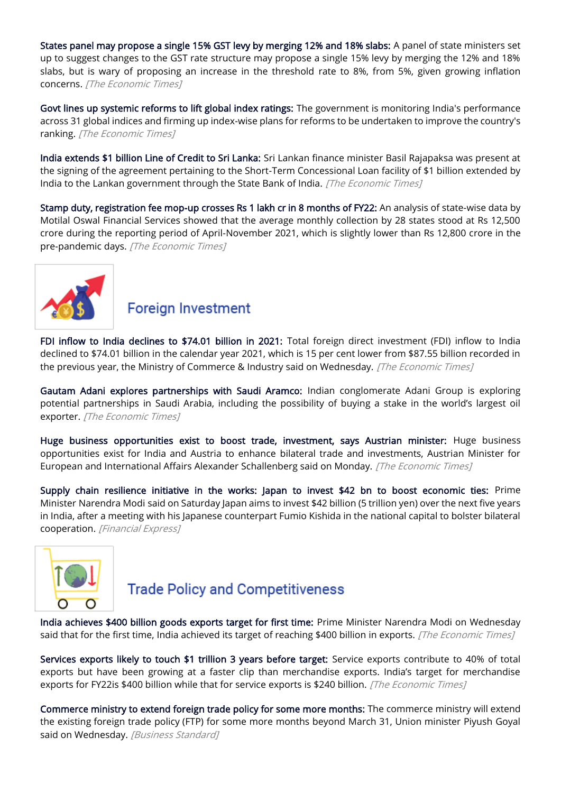[States panel may propose a single 15% GST levy by merging 12% and 18% slabs:](https://economictimes.indiatimes.com/news/economy/finance/states-panel-may-propose-a-single-15-gst-levy-by-merging-12-and-18-slabs/articleshow/90342687.cms) A panel of state ministers set up to suggest changes to the GST rate structure may propose a single 15% levy by merging the 12% and 18% slabs, but is wary of proposing an increase in the threshold rate to 8%, from 5%, given growing inflation concerns. [The Economic Times]

[Govt lines up systemic reforms to lift global index ratings:](https://economictimes.indiatimes.com/news/economy/policy/govt-lines-up-systemic-reforms-to-lift-global-index-ratings/articleshow/90314860.cms) The government is monitoring India's performance across 31 global indices and firming up index-wise plans for reforms to be undertaken to improve the country's ranking. [The Economic Times]

[India extends \\$1 billion Line of Credit to Sri Lanka:](https://economictimes.indiatimes.com/news/india/india-extends-1-billion-line-of-credit-to-sri-lanka/articleshow/90299586.cms) Sri Lankan finance minister Basil Rajapaksa was present at the signing of the agreement pertaining to the Short-Term Concessional Loan facility of \$1 billion extended by India to the Lankan government through the State Bank of India. [The Economic Times]

[Stamp duty, registration fee mop-up crosses Rs 1 lakh cr in 8 months of FY22:](https://economictimes.indiatimes.com/news/economy/finance/stamp-duty-registration-fee-mop-up-crosses-rs-1-lakh-cr-in-8-months-of-fy22-report/articleshow/90333693.cms) An analysis of state-wise data by Motilal Oswal Financial Services showed that the average monthly collection by 28 states stood at Rs 12,500 crore during the reporting period of April-November 2021, which is slightly lower than Rs 12,800 crore in the pre-pandemic days. [The Economic Times]



## **Foreign Investment**

[FDI inflow to India declines to \\$74.01 billion in 2021:](https://economictimes.indiatimes.com/news/economy/finance/fdi-inflow-to-india-declines-to-74-01-billion-in-2021/articleshow/90400950.cms) Total foreign direct investment (FDI) inflow to India declined to \$74.01 billion in the calendar year 2021, which is 15 per cent lower from \$87.55 billion recorded in the previous year, the Ministry of Commerce & Industry said on Wednesday. [The Economic Times]

[Gautam Adani explores partnerships with Saudi Aramco:](https://economictimes.indiatimes.com/industry/energy/oil-gas/gautam-adani-explores-partnerships-with-saudi-aramco/articleshow/90310028.cms) Indian conglomerate Adani Group is exploring potential partnerships in Saudi Arabia, including the possibility of buying a stake in the world's largest oil exporter. [The Economic Times]

[Huge business opportunities exist to boost trade, investment, says Austrian minister:](https://economictimes.indiatimes.com/news/economy/foreign-trade/huge-business-opportunities-exist-to-boost-trade-investment-says-austrian-minister/articleshow/90349963.cms) Huge business opportunities exist for India and Austria to enhance bilateral trade and investments, Austrian Minister for European and International Affairs Alexander Schallenberg said on Monday. [The Economic Times]

[Supply chain resilience initiative in the works: Japan to invest \\$42 bn to boost economic ties:](https://www.financialexpress.com/economy/supply-chain-resilience-initiative-in-the-works-japan-to-invest-42-bn-to-boost-economic-ties/2465566/) Prime Minister Narendra Modi said on Saturday Japan aims to invest \$42 billion (5 trillion yen) over the next five years in India, after a meeting with his Japanese counterpart Fumio Kishida in the national capital to bolster bilateral cooperation. [Financial Express]



## **Trade Policy and Competitiveness**

[India achieves \\$400 billion goods exports target for first time:](https://economictimes.indiatimes.com/news/economy/foreign-trade/india-achieves-400-billion-goods-exports-target-for-first-time/articleshow/90392092.cms) Prime Minister Narendra Modi on Wednesday said that for the first time, India achieved its target of reaching \$400 billion in exports. [The Economic Times]

[Services exports likely to touch \\$1 trillion 3 years before target:](https://economictimes.indiatimes.com/news/economy/foreign-trade/services-exports-likely-to-touch-1-trillion-3-years-before-target/articleshow/90299720.cms) Service exports contribute to 40% of total exports but have been growing at a faster clip than merchandise exports. India's target for merchandise exports for FY22is \$400 billion while that for service exports is \$240 billion. [The Economic Times]

[Commerce ministry to extend foreign trade policy for some more months:](https://www.business-standard.com/article/economy-policy/commerce-ministry-to-extend-foreign-trade-policy-for-some-more-months-122032301257_1.html) The commerce ministry will extend the existing foreign trade policy (FTP) for some more months beyond March 31, Union minister Piyush Goyal said on Wednesday. [Business Standard]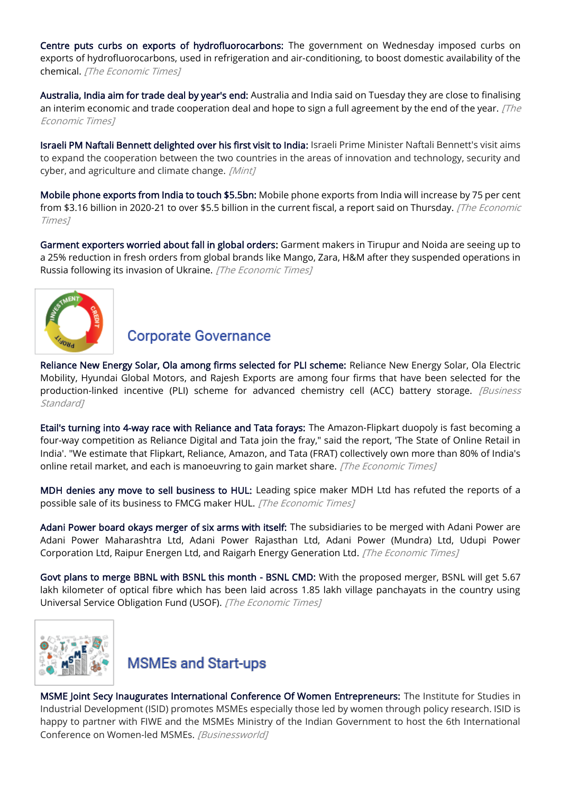[Centre puts curbs on exports of hydrofluorocarbons:](https://economictimes.indiatimes.com/news/economy/foreign-trade/centre-puts-curbs-on-exports-of-hydrofluorocarbons/articleshow/90397898.cms) The government on Wednesday imposed curbs on exports of hydrofluorocarbons, used in refrigeration and air-conditioning, to boost domestic availability of the chemical. [The Economic Times]

[Australia, India aim for trade deal by year's end:](https://economictimes.indiatimes.com/news/economy/foreign-trade/australia-india-aim-for-trade-deal-by-years-end/articleshow/90371523.cms) Australia and India said on Tuesday they are close to finalising an interim economic and trade cooperation deal and hope to sign a full agreement by the end of the year.  $[The$ Economic Times]

[Israeli PM Naftali Bennett delighted over his first visit to India:](https://www.livemint.com/news/india/israeli-pm-naftali-bennett-delighted-over-his-first-visit-to-india-see-details-here-11647744260163.html) Israeli Prime Minister Naftali Bennett's visit aims to expand the cooperation between the two countries in the areas of innovation and technology, security and cyber, and agriculture and climate change. [Mint]

[Mobile phone exports from India to touch \\$5.5bn:](https://economictimes.indiatimes.com/industry/cons-products/electronics/mobile-phone-exports-from-india-to-touch-5-5bn/articleshow/90423449.cms) Mobile phone exports from India will increase by 75 per cent from \$3.16 billion in 2020-21 to over \$5.5 billion in the current fiscal, a report said on Thursday. *[The Economic* Times]

[Garment exporters worried about fall in global orders:](https://economictimes.indiatimes.com/news/economy/foreign-trade/garment-exporters-worried-about-fall-in-global-orders/articleshow/90362216.cms) Garment makers in Tirupur and Noida are seeing up to a 25% reduction in fresh orders from global brands like Mango, Zara, H&M after they suspended operations in Russia following its invasion of Ukraine. [The Economic Times]



#### **Corporate Governance**

[Reliance New Energy Solar, Ola among firms selected for PLI scheme:](https://www.business-standard.com/article/economy-policy/ril-unit-ola-among-companies-selected-for-pli-for-acc-battery-storage-122032401422_1.html) Reliance New Energy Solar, Ola Electric Mobility, Hyundai Global Motors, and Rajesh Exports are among four firms that have been selected for the production-linked incentive (PLI) scheme for advanced chemistry cell (ACC) battery storage. *[Business* Standard<sub>1</sub>

[Etail's turning into 4-way race with Reliance and Tata forays:](https://economictimes.indiatimes.com/industry/services/retail/etails-turning-into-4-way-race-with-reliance-and-tata-forays/articleshow/90299542.cms) The Amazon-Flipkart duopoly is fast becoming a four-way competition as Reliance Digital and Tata join the fray," said the report, 'The State of Online Retail in India'. "We estimate that Flipkart, Reliance, Amazon, and Tata (FRAT) collectively own more than 80% of India's online retail market, and each is manoeuvring to gain market share. [The Economic Times]

[MDH denies any move to sell business to HUL:](https://economictimes.indiatimes.com/industry/cons-products/fmcg/mdh-denies-any-move-to-sell-business-to-hul/articleshow/90396545.cms) Leading spice maker MDH Ltd has refuted the reports of a possible sale of its business to FMCG maker HUL. [The Economic Times]

[Adani Power board okays merger of six arms with itself:](https://economictimes.indiatimes.com/industry/energy/power/adani-power-board-okays-merger-of-six-arms-with-itself/articleshow/90390048.cms) The subsidiaries to be merged with Adani Power are Adani Power Maharashtra Ltd, Adani Power Rajasthan Ltd, Adani Power (Mundra) Ltd, Udupi Power Corporation Ltd, Raipur Energen Ltd, and Raigarh Energy Generation Ltd. [The Economic Times]

[Govt plans to merge BBNL with BSNL this month - BSNL CMD:](https://economictimes.indiatimes.com/industry/telecom/telecom-news/govt-plans-to-merge-bbnl-with-bsnl-this-month-bsnl-cmd/articleshow/90335536.cms) With the proposed merger, BSNL will get 5.67 lakh kilometer of optical fibre which has been laid across 1.85 lakh village panchayats in the country using Universal Service Obligation Fund (USOF). [The Economic Times]





[MSME Joint Secy Inaugurates International Conference Of Women Entrepreneurs:](https://www.businessworld.in/article/MSME-Joint-Secy-Inaugurates-International-Conference-Of-Women-Entrepreneurs-/23-03-2022-423527/) The Institute for Studies in Industrial Development (ISID) promotes MSMEs especially those led by women through policy research. ISID is happy to partner with FIWE and the MSMEs Ministry of the Indian Government to host the 6th International Conference on Women-led MSMEs. [Businessworld]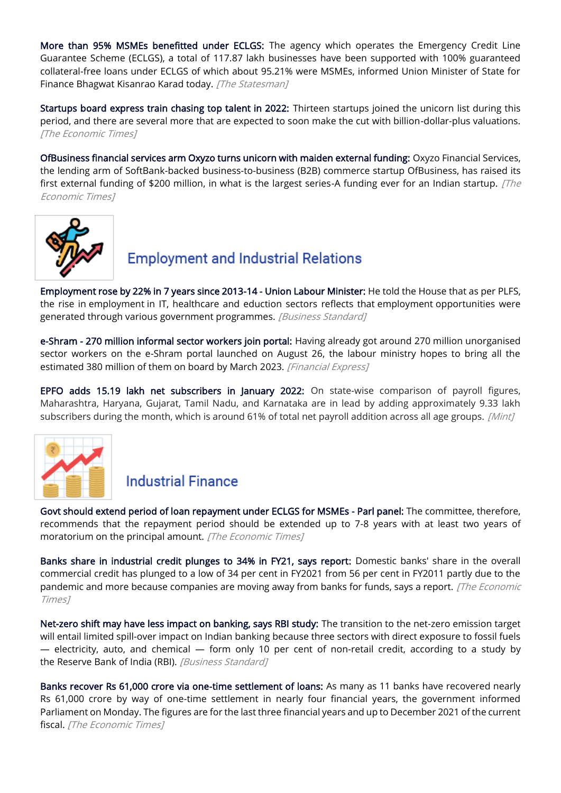[More than 95% MSMEs benefitted under ECLGS:](https://www.thestatesman.com/business/95-msmes-benefitted-eclgs-1503054036.html) The agency which operates the Emergency Credit Line Guarantee Scheme (ECLGS), a total of 117.87 lakh businesses have been supported with 100% guaranteed collateral-free loans under ECLGS of which about 95.21% were MSMEs, informed Union Minister of State for Finance Bhagwat Kisanrao Karad today. [The Statesman]

[Startups board express train chasing top talent in 2022:](https://economictimes.indiatimes.com/tech/ettech-briefs/startups-board-express-train-chasing-top-talent-in-2022/articleshow/90326244.cms) Thirteen startups joined the unicorn list during this period, and there are several more that are expected to soon make the cut with billion-dollar-plus valuations. [The Economic Times]

[OfBusiness financial services arm Oxyzo turns unicorn with maiden external funding:](https://economictimes.indiatimes.com/tech/startups/ofbusiness-lending-arm-oxyzo-turns-unicorn-with-maiden-external-funding/articleshow/90381668.cms) Oxyzo Financial Services, the lending arm of SoftBank-backed business-to-business (B2B) commerce startup OfBusiness, has raised its first external funding of \$200 million, in what is the largest series-A funding ever for an Indian startup. [The Economic Times]



## **Employment and Industrial Relations**

[Employment rose by 22% in 7 years since 2013-14 - Union Labour Minister:](https://www.business-standard.com/article/current-affairs/employment-rose-by-22-in-7-years-since-2013-14-union-labour-minister-122032401294_1.html) He told the House that as per PLFS, the rise in employment in IT, healthcare and eduction sectors reflects that employment opportunities were generated through various government programmes. [Business Standard]

[e-Shram - 270 million informal sector workers join portal:](https://www.financialexpress.com/economy/e-shram-270-million-informal-sector-workers-join-portal/2464896/) Having already got around 270 million unorganised sector workers on the e-Shram portal launched on August 26, the labour ministry hopes to bring all the estimated 380 million of them on board by March 2023. [Financial Express]

[EPFO adds 15.19 lakh net subscribers in January 2022:](https://www.livemint.com/news/india/epfo-adds-15-19-lakh-net-subscribers-in-january-2022-details-here-11647783356739.html) On state-wise comparison of payroll figures, Maharashtra, Haryana, Gujarat, Tamil Nadu, and Karnataka are in lead by adding approximately 9.33 lakh subscribers during the month, which is around 61% of total net payroll addition across all age groups. [Mint]



#### **Industrial Finance**

[Govt should extend period of loan repayment under ECLGS for MSMEs - Parl panel:](https://economictimes.indiatimes.com/small-biz/sme-sector/govt-should-extend-period-of-loan-repayment-under-eclgs-for-msmes-parl-panel/articleshow/90365921.cms) The committee, therefore, recommends that the repayment period should be extended up to 7-8 years with at least two years of moratorium on the principal amount. [The Economic Times]

[Banks share in industrial credit plunges to 34% in FY21, says report:](https://economictimes.indiatimes.com/industry/banking/finance/banks-share-in-industrial-credit-plunges-to-34-in-fy21-says-report/articleshow/90403037.cms) Domestic banks' share in the overall commercial credit has plunged to a low of 34 per cent in FY2021 from 56 per cent in FY2011 partly due to the pandemic and more because companies are moving away from banks for funds, says a report. [The Economic Times]

[Net-zero shift may have less impact on banking, says RBI study:](https://www.business-standard.com/article/finance/net-zero-shift-may-have-less-impact-on-banking-says-rbi-study-122031900042_1.html) The transition to the net-zero emission target will entail limited spill-over impact on Indian banking because three sectors with direct exposure to fossil fuels — electricity, auto, and chemical — form only 10 per cent of non-retail credit, according to a study by the Reserve Bank of India (RBI). [Business Standard]

[Banks recover Rs 61,000 crore via one-time settlement of loans:](https://economictimes.indiatimes.com/industry/banking/finance/banking/banks-recover-rs-61000-crore-via-one-time-settlement-of-loans/articleshow/90353553.cms) As many as 11 banks have recovered nearly Rs 61,000 crore by way of one-time settlement in nearly four financial years, the government informed Parliament on Monday. The figures are for the last three financial years and up to December 2021 of the current fiscal. [The Economic Times]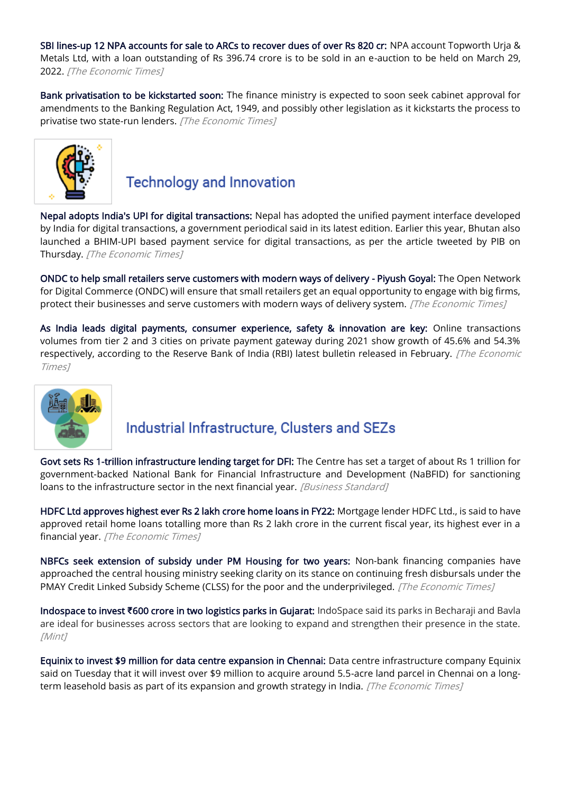[SBI lines-up 12 NPA accounts for sale to ARCs to recover dues of over Rs 820 cr:](https://economictimes.indiatimes.com/industry/banking/finance/banking/sbi-lines-up-12-npa-accounts-for-sale-to-arcs-to-recover-dues-of-over-rs-820-cr/articleshow/90333485.cms) NPA account Topworth Urja & Metals Ltd, with a loan outstanding of Rs 396.74 crore is to be sold in an e-auction to be held on March 29, 2022. [The Economic Times]

[Bank privatisation to be kickstarted soon:](https://economictimes.indiatimes.com/industry/banking/finance/banking/bank-privatisation-to-be-kickstarted-soon/articleshow/90301803.cms) The finance ministry is expected to soon seek cabinet approval for amendments to the Banking Regulation Act, 1949, and possibly other legislation as it kickstarts the process to privatise two state-run lenders. [The Economic Times]



## **Technology and Innovation**

[Nepal adopts India's UPI for digital transactions:](https://economictimes.indiatimes.com/news/india/nepal-adopts-indias-upi-for-digital-transactions/articleshow/90417277.cms) Nepal has adopted the unified payment interface developed by India for digital transactions, a government periodical said in its latest edition. Earlier this year, Bhutan also launched a BHIM-UPI based payment service for digital transactions, as per the article tweeted by PIB on Thursday. [The Economic Times]

[ONDC to help small retailers serve customers with modern ways of delivery - Piyush Goyal:](https://economictimes.indiatimes.com/industry/services/retail/ondc-to-help-small-retailers-serve-customers-with-modern-ways-of-delivery-piyush-goyal/articleshow/90318538.cms) The Open Network for Digital Commerce (ONDC) will ensure that small retailers get an equal opportunity to engage with big firms, protect their businesses and serve customers with modern ways of delivery system. [The Economic Times]

[As India leads digital payments, consumer experience, safety & innovation are key:](https://economictimes.indiatimes.com/news/economy/indicators/as-india-leads-digital-payments-consumer-experience-safety-innovation-are-key/articleshow/90352232.cms) Online transactions volumes from tier 2 and 3 cities on private payment gateway during 2021 show growth of 45.6% and 54.3% respectively, according to the Reserve Bank of India (RBI) latest bulletin released in February. [The Economic Times]



## Industrial Infrastructure, Clusters and SEZs

[Govt sets Rs 1-trillion infrastructure lending target for DFI:](https://www.business-standard.com/article/economy-policy/govt-sets-rs-1-trillion-infrastructure-lending-target-for-dfi-122032400061_1.html) The Centre has set a target of about Rs 1 trillion for government-backed National Bank for Financial Infrastructure and Development (NaBFID) for sanctioning loans to the infrastructure sector in the next financial year. [Business Standard]

[HDFC Ltd approves highest ever Rs 2 lakh crore home loans in FY22:](https://economictimes.indiatimes.com/industry/banking/finance/hdfc-ltd-approves-highest-ever-rs-2-lakh-crore-home-loans-in-fy22/articleshow/90391730.cms) Mortgage lender HDFC Ltd., is said to have approved retail home loans totalling more than Rs 2 lakh crore in the current fiscal year, its highest ever in a financial year. [The Economic Times]

[NBFCs seek extension of subsidy under PM Housing for two years:](https://economictimes.indiatimes.com/news/economy/policy/nbfcs-seek-extension-of-subsidy-under-pm-housing-for-two-years/articleshow/90383455.cms) Non-bank financing companies have approached the central housing ministry seeking clarity on its stance on continuing fresh disbursals under the PMAY Credit Linked Subsidy Scheme (CLSS) for the poor and the underprivileged. [The Economic Times]

Indospace to invest **₹**[600 crore in two logistics parks in Gujarat:](https://www.livemint.com/companies/news/indospace-to-invest-rs-600-crore-in-two-logistics-parks-in-gujarat-11647941474149.html) IndoSpace said its parks in Becharaji and Bavla are ideal for businesses across sectors that are looking to expand and strengthen their presence in the state. [Mint]

[Equinix to invest \\$9 million for data centre expansion in Chennai:](https://economictimes.indiatimes.com/tech/information-tech/equinix-to-invest-9-million-for-data-centre-expansion-in-chennai/articleshow/90372145.cms) Data centre infrastructure company Equinix said on Tuesday that it will invest over \$9 million to acquire around 5.5-acre land parcel in Chennai on a longterm leasehold basis as part of its expansion and growth strategy in India. [The Economic Times]